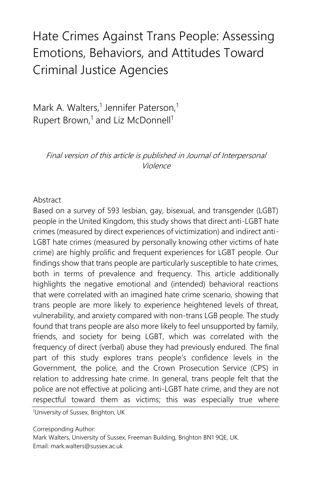# Hate Crimes Against Trans People: Assessing Emotions, Behaviors, and Attitudes Toward Criminal Justice Agencies

Mark A. Walters,<sup>1</sup> Jennifer Paterson,<sup>1</sup> Rupert Brown,<sup>1</sup> and Liz McDonnell<sup>1</sup>

Final version of this article is published in Journal of Interpersonal Violence

### Abstract

Based on a survey of 593 lesbian, gay, bisexual, and transgender (LGBT) people in the United Kingdom, this study shows that direct anti-LGBT hate crimes (measured by direct experiences of victimization) and indirect anti-LGBT hate crimes (measured by personally knowing other victims of hate crime) are highly prolific and frequent experiences for LGBT people. Our findings show that trans people are particularly susceptible to hate crimes, both in terms of prevalence and frequency. This article additionally highlights the negative emotional and (intended) behavioral reactions that were correlated with an imagined hate crime scenario, showing that trans people are more likely to experience heightened levels of threat, vulnerability, and anxiety compared with non-trans LGB people. The study found that trans people are also more likely to feel unsupported by family, friends, and society for being LGBT, which was correlated with the frequency of direct (verbal) abuse they had previously endured. The final part of this study explores trans people's confidence levels in the Government, the police, and the Crown Prosecution Service (CPS) in relation to addressing hate crime. In general, trans people felt that the police are not effective at policing anti-LGBT hate crime, and they are not respectful toward them as victims; this was especially true where

<sup>1</sup>University of Sussex, Brighton, UK

Corresponding Author:

Mark Walters, University of Sussex, Freeman Building, Brighton BN1 9QE, UK. Email: mark.walters@sussex.ac.uk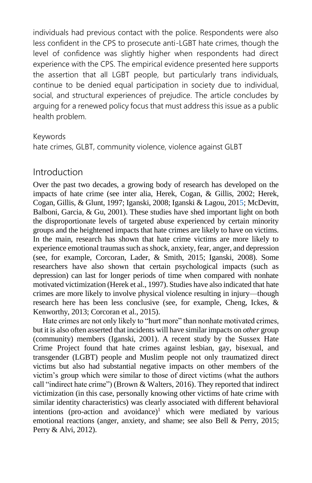individuals had previous contact with the police. Respondents were also less confident in the CPS to prosecute anti-LGBT hate crimes, though the level of confidence was slightly higher when respondents had direct experience with the CPS. The empirical evidence presented here supports the assertion that all LGBT people, but particularly trans individuals, continue to be denied equal participation in society due to individual, social, and structural experiences of prejudice. The article concludes by arguing for a renewed policy focus that must address this issue as a public health problem.

#### Keywords

hate crimes, GLBT, community violence, violence against GLBT

# Introduction

Over the past two decades, a growing body of research has developed on the impacts of hate crime (see inter alia, [Herek, Cogan, & Gillis, 2002;](file:///J:/WatchFolder/PROCESS/JIV715026.docx%23bib20) [Herek,](file:///J:/WatchFolder/PROCESS/JIV715026.docx%23bib21)  [Cogan, Gillis, & Glunt, 1997;](file:///J:/WatchFolder/PROCESS/JIV715026.docx%23bib21) [Iganski, 2008;](file:///J:/WatchFolder/PROCESS/JIV715026.docx%23bib26) Iganski & Lagou, 2015[; McDevitt,](file:///J:/WatchFolder/PROCESS/JIV715026.docx%23bib35)  [Balboni, Garcia, & Gu, 2001\).](file:///J:/WatchFolder/PROCESS/JIV715026.docx%23bib35) These studies have shed important light on both the disproportionate levels of targeted abuse experienced by certain minority groups and the heightened impacts that hate crimes are likely to have on victims. In the main, research has shown that hate crime victims are more likely to experience emotional traumas such as shock, anxiety, fear, anger, and depression (see, for example, [Corcoran, Lader, & Smith, 2015;](file:///J:/WatchFolder/PROCESS/JIV715026.docx%23bib13) [Iganski, 2008\).](file:///J:/WatchFolder/PROCESS/JIV715026.docx%23bib26) Some researchers have also shown that certain psychological impacts (such as depression) can last for longer periods of time when compared with nonhate motivated victimizatio[n \(Herek et al., 1997\).](file:///J:/WatchFolder/PROCESS/JIV715026.docx%23bib21) Studies have also indicated that hate crimes are more likely to involve physical violence resulting in injury—though research here has been less conclusive (see, for example, [Cheng, Ickes, &](file:///J:/WatchFolder/PROCESS/JIV715026.docx%23bib10)  [Kenworthy, 2013;](file:///J:/WatchFolder/PROCESS/JIV715026.docx%23bib10) [Corcoran et al., 2015\).](file:///J:/WatchFolder/PROCESS/JIV715026.docx%23bib13)

Hate crimes are not only likely to "hurt more" than nonhate motivated crimes, but it is also often asserted that incidents will have similar impacts on *other* group (community) members [\(Iganski, 2001\).](file:///J:/WatchFolder/PROCESS/JIV715026.docx%23bib25) A recent study by the Sussex Hate Crime Project found that hate crimes against lesbian, gay, bisexual, and transgender (LGBT) people and Muslim people not only traumatized direct victims but also had substantial negative impacts on other members of the victim's group which were similar to those of direct victims (what the authors call "indirect hate crime") (Brown & Walters, 2016). They reported that indirect victimization (in this case, personally knowing other victims of hate crime with similar identity characteristics) was clearly associated with different behavioral intentions (pro-action and avoidance[\)](file:///J:/WatchFolder/PROCESS/JIV715026.docx%23ENotes2)<sup>1</sup> which were mediated by various emotional reactions (anger, anxiety, and shame; see also [Bell & Perry, 2015;](file:///J:/WatchFolder/PROCESS/JIV715026.docx%23bib3) [Perry & Alvi, 2012\).](file:///J:/WatchFolder/PROCESS/JIV715026.docx%23bib47)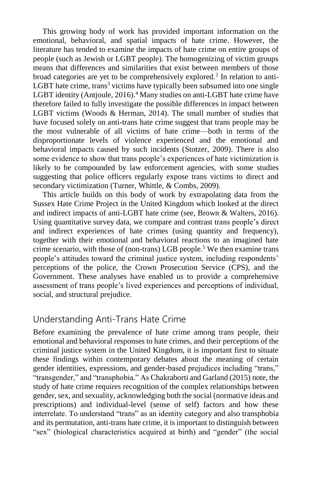This growing body of work has provided important information on the emotional, behavioral, and spatial impacts of hate crime. However, the literature has tended to examine the impacts of hate crime on entire groups of people (such as Jewish or LGBT people). The homogenizing of victim groups means that differences and similarities that exist between members of those broad categories are yet to be comprehensively explored.<sup>[2](file:///J:/WatchFolder/PROCESS/JIV715026.docx%23ENotes3)</sup> In relation to antiLGBT hate crime, tran[s](file:///J:/WatchFolder/PROCESS/JIV715026.docx%23ENotes4)<sup>3</sup> victims have typically been subsumed into one single LGBT identity (Antjoule, 2016).<sup>[4](file:///J:/WatchFolder/PROCESS/JIV715026.docx%23ENotes5)</sup> Many studies on anti-LGBT hate crime have therefore failed to fully investigate the possible differences in impact between LGBT victims [\(Woods & Herman, 2014\).](file:///J:/WatchFolder/PROCESS/JIV715026.docx%23bib59) The small number of studies that have focused solely on anti-trans hate crime suggest that trans people may be the most vulnerable of all victims of hate crime—both in terms of the disproportionate levels of violence experienced and the emotional and behavioral impacts caused by such incidents [\(Stotzer, 2009\)](file:///J:/WatchFolder/PROCESS/JIV715026.docx%23bib51). There is also some evidence to show that trans people's experiences of hate victimization is likely to be compounded by law enforcement agencies, with some studies suggesting that police officers regularly expose trans victims to direct and secondary victimization [\(Turner, Whittle, & Combs, 2009\).](file:///J:/WatchFolder/PROCESS/JIV715026.docx%23bib53)

This article builds on this body of work by extrapolating data from the Sussex Hate Crime Project in the United Kingdom which looked at the direct and indirect impacts of anti-LGBT hate crime (see, Brown & Walters, 2016). Using quantitative survey data, we compare and contrast trans people's direct and indirect experiences of hate crimes (using quantity and frequency), together with their emotional and behavioral reactions to an imagined hate crime scenario, with those of (non-trans) LGB people[.](file:///J:/WatchFolder/PROCESS/JIV715026.docx%23ENotes6)<sup>5</sup> We then examine trans people's attitudes toward the criminal justice system, including respondents' perceptions of the police, the Crown Prosecution Service (CPS), and the Government. These analyses have enabled us to provide a comprehensive assessment of trans people's lived experiences and perceptions of individual, social, and structural prejudice.

# Understanding Anti-Trans Hate Crime

Before examining the prevalence of hate crime among trans people, their emotional and behavioral responses to hate crimes, and their perceptions of the criminal justice system in the United Kingdom, it is important first to situate these findings within contemporary debates about the meaning of certain gender identities, expressions, and gender-based prejudices including "trans," "transgender," and "transphobia." A[s Chakraborti and Garland \(2015\)](file:///J:/WatchFolder/PROCESS/JIV715026.docx%23bib8) note, the study of hate crime requires recognition of the complex relationships between gender, sex, and sexuality, acknowledging both the social (normative ideas and prescriptions) and individual-level (sense of self) factors and how these interrelate. To understand "trans" as an identity category and also transphobia and its permutation, anti-trans hate crime, it is important to distinguish between "sex" (biological characteristics acquired at birth) and "gender" (the social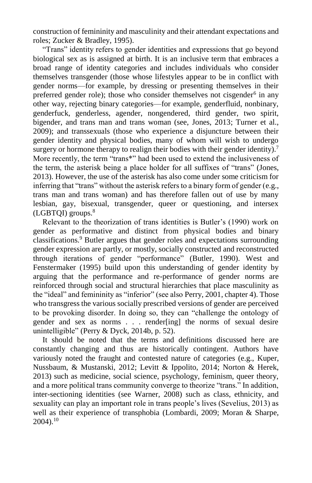construction of femininity and masculinity and their attendant expectations and roles[; Zucker & Bradley, 1995\).](file:///J:/WatchFolder/PROCESS/JIV715026.docx%23bib62)

"Trans" identity refers to gender identities and expressions that go beyond biological sex as is assigned at birth. It is an inclusive term that embraces a broad range of identity categories and includes individuals who consider themselves transgender (those whose lifestyles appear to be in conflict with gender norms—for example, by dressing or presenting themselves in their preferred gender role); those who consider themselves not cisgender<sup>[6](file:///J:/WatchFolder/PROCESS/JIV715026.docx%23ENotes7)</sup> in any other way, rejecting binary categories—for example, genderfluid, nonbinary, genderfuck, genderless, agender, nongendered, third gender, two spirit, bigender, and trans man and trans woman (see, [Jones, 2013;](file:///J:/WatchFolder/PROCESS/JIV715026.docx%23bib28) [Turner et al.,](file:///J:/WatchFolder/PROCESS/JIV715026.docx%23bib53)  [2009\);](file:///J:/WatchFolder/PROCESS/JIV715026.docx%23bib53) and transsexuals (those who experience a disjuncture between their gender identity and physical bodies, many of whom will wish to undergo surgery or hormone therapy to realign their bodies with their gender identity).<sup>[7](file:///J:/WatchFolder/PROCESS/JIV715026.docx%23ENotes8)</sup> More recently, the term "trans<sup>\*"</sup> had been used to extend the inclusiveness of the term, the asterisk being a place holder for all suffixes of "trans" [\(Jones,](file:///J:/WatchFolder/PROCESS/JIV715026.docx%23bib28)  [2013\).](file:///J:/WatchFolder/PROCESS/JIV715026.docx%23bib28) However, the use of the asterisk has also come under some criticism for inferring that "trans" without the asterisk refers to a binary form of gender (e.g., trans man and trans woman) and has therefore fallen out of use by many lesbian, gay, bisexual, transgender, queer or questioning, and intersex (LGBTQI) group[s.](file:///J:/WatchFolder/PROCESS/JIV715026.docx%23ENotes9)<sup>8</sup>

Relevant to the theorization of trans identities is Butler's (1990) work on gender as performative and distinct from physical bodies and binary classifications.[9](file:///J:/WatchFolder/PROCESS/JIV715026.docx%23ENotes10) Butler argues that gender roles and expectations surrounding gender expression are partly, or mostly, socially constructed and reconstructed through iterations of gender "performance" [\(Butler, 1990\).](file:///J:/WatchFolder/PROCESS/JIV715026.docx%23bib7) [West and](file:///J:/WatchFolder/PROCESS/JIV715026.docx%23bib56)  [Fenstermaker \(1995\)](file:///J:/WatchFolder/PROCESS/JIV715026.docx%23bib56) build upon this understanding of gender identity by arguing that the performance and re-performance of gender norms are reinforced through social and structural hierarchies that place masculinity as the "ideal" and femininity as "inferior" (see als[o Perry, 2001,](file:///J:/WatchFolder/PROCESS/JIV715026.docx%23bib46) chapter 4). Those who transgress the various socially prescribed versions of gender are perceived to be provoking disorder. In doing so, they can "challenge the ontology of gender and sex as norms . . . render[ing] the norms of sexual desire unintelligible" (Perry & Dyck, 2014b, p. 52).

It should be noted that the terms and definitions discussed here are constantly changing and thus are historically contingent. Authors have variously noted the fraught and contested nature of categories (e.g., [Kuper,](file:///J:/WatchFolder/PROCESS/JIV715026.docx%23bib30)  [Nussbaum, & Mustanski, 2012;](file:///J:/WatchFolder/PROCESS/JIV715026.docx%23bib30) [Levitt & Ippolito, 2014;](file:///J:/WatchFolder/PROCESS/JIV715026.docx%23bib31) [Norton & Herek,](file:///J:/WatchFolder/PROCESS/JIV715026.docx%23bib44)  [2013\)](file:///J:/WatchFolder/PROCESS/JIV715026.docx%23bib44) such as medicine, social science, psychology, feminism, queer theory, and a more political trans community converge to theorize "trans." In addition, inter-sectioning identities (see [Warner, 2008\)](file:///J:/WatchFolder/PROCESS/JIV715026.docx%23bib55) such as class, ethnicity, and sexuality can play an important role in trans people's lives (Sevelius, 2013) as well as their experience of transphobia [\(Lombardi, 2009;](file:///J:/WatchFolder/PROCESS/JIV715026.docx%23bib32) [Moran & Sharpe,](file:///J:/WatchFolder/PROCESS/JIV715026.docx%23bib40)  [2004\).](file:///J:/WatchFolder/PROCESS/JIV715026.docx%23bib40)[10](file:///J:/WatchFolder/PROCESS/JIV715026.docx%23ENotes11)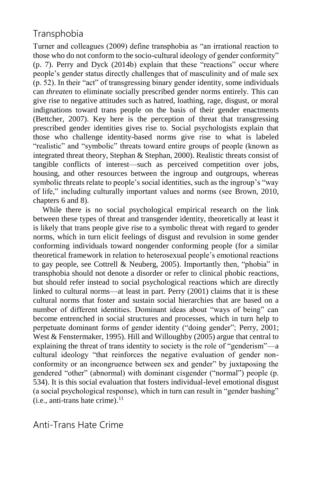# **Transphobia**

Turner and colleagues (2009) define transphobia as "an irrational reaction to those who do not conform to the socio-cultural ideology of gender conformity" (p. 7). [Perry and Dyck \(2014b\)](file:///J:/WatchFolder/PROCESS/JIV715026.docx%23bib49) explain that these "reactions" occur where people's gender status directly challenges that of masculinity and of male sex (p. 52). In their "act" of transgressing binary gender identity, some individuals can *threaten* to eliminate socially prescribed gender norms entirely. This can give rise to negative attitudes such as hatred, loathing, rage, disgust, or moral indignations toward trans people on the basis of their gender enactments [\(Bettcher, 2007\).](file:///J:/WatchFolder/PROCESS/JIV715026.docx%23bib4) Key here is the perception of threat that transgressing prescribed gender identities gives rise to. Social psychologists explain that those who challenge identity-based norms give rise to what is labeled "realistic" and "symbolic" threats toward entire groups of people (known as integrated threat theory, Stephan & Stephan, 2000). Realistic threats consist of tangible conflicts of interest—such as perceived competition over jobs, housing, and other resources between the ingroup and outgroups, whereas symbolic threats relate to people's social identities, such as the ingroup's "way of life," including culturally important values and norms (see [Brown, 2010,](file:///J:/WatchFolder/PROCESS/JIV715026.docx%23bib5) chapters 6 and 8).

While there is no social psychological empirical research on the link between these types of threat and transgender identity, theoretically at least it is likely that trans people give rise to a symbolic threat with regard to gender norms, which in turn elicit feelings of disgust and revulsion in some gender conforming individuals toward nongender conforming people (for a similar theoretical framework in relation to heterosexual people's emotional reactions to gay people, see [Cottrell & Neuberg, 2005\).](file:///J:/WatchFolder/PROCESS/JIV715026.docx%23bib15) Importantly then, "phobia" in transphobia should not denote a disorder or refer to clinical phobic reactions, but should refer instead to social psychological reactions which are directly linked to cultural norms—at least in part. Perry (2001) claims that it is these cultural norms that foster and sustain social hierarchies that are based on a number of different identities. Dominant ideas about "ways of being" can become entrenched in social structures and processes, which in turn help to perpetuate dominant forms of gender identity ("doing gender"; [Perry, 2001;](file:///J:/WatchFolder/PROCESS/JIV715026.docx%23bib46) [West & Fenstermaker, 1995\)](file:///J:/WatchFolder/PROCESS/JIV715026.docx%23bib56). Hill and Willoughby (2005) argue that central to explaining the threat of trans identity to society is the role of "genderism"—a cultural ideology "that reinforces the negative evaluation of gender nonconformity or an incongruence between sex and gender" by juxtaposing the gendered "other" (abnormal) with dominant cisgender ("normal") people (p. 534). It is this social evaluation that fosters individual-level emotional disgust (a social psychological response), which in turn can result in "gender bashing"  $(i.e., anti-trans hate crime).<sup>11</sup>$  $(i.e., anti-trans hate crime).<sup>11</sup>$  $(i.e., anti-trans hate crime).<sup>11</sup>$ 

Anti-Trans Hate Crime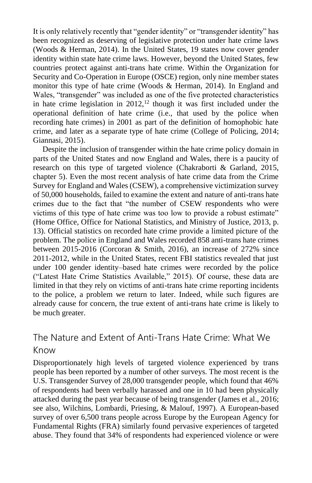It is only relatively recently that "gender identity" or "transgender identity" has been recognized as deserving of legislative protection under hate crime laws [\(Woods & Herman, 2014\).](file:///J:/WatchFolder/PROCESS/JIV715026.docx%23bib59) In the United States, 19 states now cover gender identity within state hate crime laws. However, beyond the United States, few countries protect against anti-trans hate crime. Within the Organization for Security and Co-Operation in Europe (OSCE) region, only nine member states monitor this type of hate crime [\(Woods & Herman, 2014\).](file:///J:/WatchFolder/PROCESS/JIV715026.docx%23bib59) In England and Wales, "transgender" was included as one of the five protected characteristics in hate crime legislation in  $2012$  $2012$ ,<sup>12</sup> though it was first included under the operational definition of hate crime (i.e., that used by the police when recording hate crimes) in 2001 as part of the definition of homophobic hate crime, and later as a separate type of hate crime [\(College of Policing, 2014;](file:///J:/WatchFolder/PROCESS/JIV715026.docx%23bib12) [Giannasi, 2015\).](file:///J:/WatchFolder/PROCESS/JIV715026.docx%23bib18)

Despite the inclusion of transgender within the hate crime policy domain in parts of the United States and now England and Wales, there is a paucity of research on this type of targeted violence [\(Chakraborti & Garland, 2015,](file:///J:/WatchFolder/PROCESS/JIV715026.docx%23bib8) chapter 5). Even the most recent analysis of hate crime data from the Crime Survey for England and Wales (CSEW), a comprehensive victimization survey of 50,000 households, failed to examine the extent and nature of anti-trans hate crimes due to the fact that "the number of CSEW respondents who were victims of this type of hate crime was too low to provide a robust estimate" [\(Home Office, Office for National Statistics, and Ministry of Justice, 2013, p.](file:///J:/WatchFolder/PROCESS/JIV715026.docx%23org23) 13). Official statistics on recorded hate crime provide a limited picture of the problem. The police in England and Wales recorded 858 anti-trans hate crimes between 2015-2016 [\(Corcoran & Smith, 2016\),](file:///J:/WatchFolder/PROCESS/JIV715026.docx%23bib14) an increase of 272% since 2011-2012, while in the United States, recent FBI statistics revealed that just under 100 gender identity–based hate crimes were recorded by the police ("Latest Hate Crime Statistics Available," 2015). Of course, these data are limited in that they rely on victims of anti-trans hate crime reporting incidents to the police, a problem we return to later. Indeed, while such figures are already cause for concern, the true extent of anti-trans hate crime is likely to be much greater.

# The Nature and Extent of Anti-Trans Hate Crime: What We Know

Disproportionately high levels of targeted violence experienced by trans people has been reported by a number of other surveys. The most recent is the U.S. Transgender Survey of 28,000 transgender people, which found that 46% of respondents had been verbally harassed and one in 10 had been physically attacked during the past year because of being transgender [\(James et al., 2016;](file:///J:/WatchFolder/PROCESS/JIV715026.docx%23bib27) see also, [Wilchins, Lombardi, Priesing, & Malouf, 1997\).](file:///J:/WatchFolder/PROCESS/JIV715026.docx%23bib57) A European-based survey of over 6,500 trans people across Europe by the European Agency for Fundamental Rights (FRA) similarly found pervasive experiences of targeted abuse. They found that 34% of respondents had experienced violence or were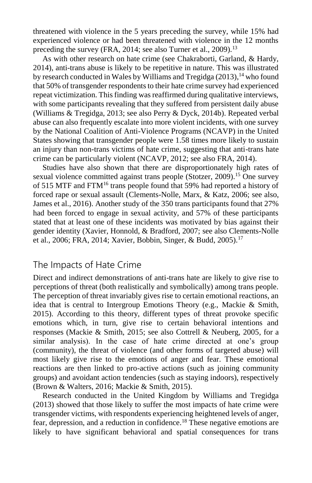threatened with violence in the 5 years preceding the survey, while 15% had experienced violence or had been threatened with violence in the 12 months preceding the survey [\(FRA, 2014;](file:///J:/WatchFolder/PROCESS/JIV715026.docx%23org16) see als[o Turner et al., 2009\).](file:///J:/WatchFolder/PROCESS/JIV715026.docx%23bib53)<sup>[13](file:///J:/WatchFolder/PROCESS/JIV715026.docx%23bib53)</sup>

As with other research on hate crime (see [Chakraborti, Garland, & Hardy,](file:///J:/WatchFolder/PROCESS/JIV715026.docx%23bib9)  [2014\),](file:///J:/WatchFolder/PROCESS/JIV715026.docx%23bib9) anti-trans abuse is likely to be repetitive in nature. This was illustrated by research conducted in Wales by [Williams and Tregidga \(2013\),](file:///J:/WatchFolder/PROCESS/JIV715026.docx%23bib58) [14](file:///J:/WatchFolder/PROCESS/JIV715026.docx%23ENotes15) who found that 50% of transgender respondents to their hate crime survey had experienced repeat victimization. This finding was reaffirmed during qualitative interviews, with some participants revealing that they suffered from persistent daily abuse [\(Williams & Tregidga, 2013;](file:///J:/WatchFolder/PROCESS/JIV715026.docx%23bib58) see also [Perry & Dyck, 2014b\)](file:///J:/WatchFolder/PROCESS/JIV715026.docx%23bib49). Repeated verbal abuse can also frequently escalate into more violent incidents, with one survey by the National Coalition of Anti-Violence Programs (NCAVP) in the United States showing that transgender people were 1.58 times more likely to sustain an injury than non-trans victims of hate crime, suggesting that anti-trans hate crime can be particularly violent [\(NCAVP, 2012;](file:///J:/WatchFolder/PROCESS/JIV715026.docx%23org42) see also [FRA, 2014\)](file:///J:/WatchFolder/PROCESS/JIV715026.docx%23org16).

Studies have also shown that there are disproportionately high rates of sexual violence committed against trans people [\(Stotzer, 2009\).](file:///J:/WatchFolder/PROCESS/JIV715026.docx%23bib51)<sup>[15](file:///J:/WatchFolder/PROCESS/JIV715026.docx%23bib51)</sup> One survey of 515 MTF and FTM<sup>[16](file:///J:/WatchFolder/PROCESS/JIV715026.docx%23ENotes17)</sup> trans people found that 59% had reported a history of forced rape or sexual assault [\(Clements-Nolle, Marx, & Katz, 2006;](file:///J:/WatchFolder/PROCESS/JIV715026.docx%23bib11) see also, [James et al., 2016\).](file:///J:/WatchFolder/PROCESS/JIV715026.docx%23bib27) Another study of the 350 trans participants found that 27% had been forced to engage in sexual activity, and 57% of these participants stated that at least one of these incidents was motivated by bias against their gender identit[y \(Xavier, Honnold, & Bradford, 2007;](file:///J:/WatchFolder/PROCESS/JIV715026.docx%23bib61) see als[o Clements-Nolle](file:///J:/WatchFolder/PROCESS/JIV715026.docx%23bib11)  [et al., 2006;](file:///J:/WatchFolder/PROCESS/JIV715026.docx%23bib11) [FRA, 2014;](file:///J:/WatchFolder/PROCESS/JIV715026.docx%23bib16) [Xavier, Bobbin, Singer, & Budd, 2005\).](file:///J:/WatchFolder/PROCESS/JIV715026.docx%23bib60)[17](file:///J:/WatchFolder/PROCESS/JIV715026.docx%23bib60)

# The Impacts of Hate Crime

Direct and indirect demonstrations of anti-trans hate are likely to give rise to perceptions of threat (both realistically and symbolically) among trans people. The perception of threat invariably gives rise to certain emotional reactions, an idea that is central to Intergroup Emotions Theory (e.g., [Mackie & Smith,](file:///J:/WatchFolder/PROCESS/JIV715026.docx%23bib33)  [2015\).](file:///J:/WatchFolder/PROCESS/JIV715026.docx%23bib33) According to this theory, different types of threat provoke specific emotions which, in turn, give rise to certain behavioral intentions and responses [\(Mackie & Smith, 2015;](file:///J:/WatchFolder/PROCESS/JIV715026.docx%23bib33) see also [Cottrell & Neuberg, 2005,](file:///J:/WatchFolder/PROCESS/JIV715026.docx%23bib15) for a similar analysis). In the case of hate crime directed at one's group (community), the threat of violence (and other forms of targeted abuse) will most likely give rise to the emotions of anger and fear. These emotional reactions are then linked to pro-active actions (such as joining community groups) and avoidant action tendencies (such as staying indoors), respectively (Brown & Walters, 2016[; Mackie & Smith, 2015\).](file:///J:/WatchFolder/PROCESS/JIV715026.docx%23bib33)

Research conducted in the United Kingdom by [Williams and Tregidga](file:///J:/WatchFolder/PROCESS/JIV715026.docx%23bib58)  [\(2013\)](file:///J:/WatchFolder/PROCESS/JIV715026.docx%23bib58) showed that those likely to suffer the most impacts of hate crime were transgender victims, with respondents experiencing heightened levels of anger, fear, depression, and a reduction in confidence.[18](file:///J:/WatchFolder/PROCESS/JIV715026.docx%23ENotes19) These negative emotions are likely to have significant behavioral and spatial consequences for trans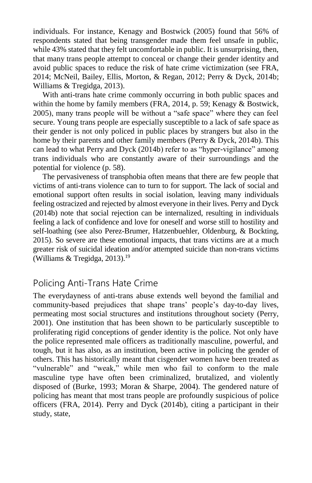individuals. For instance, [Kenagy and Bostwick \(2005\)](file:///J:/WatchFolder/PROCESS/JIV715026.docx%23bib29) found that 56% of respondents stated that being transgender made them feel unsafe in public, while 43% stated that they felt uncomfortable in public. It is unsurprising, then, that many trans people attempt to conceal or change their gender identity and avoid public spaces to reduce the risk of hate crime victimization (see [FRA,](file:///J:/WatchFolder/PROCESS/JIV715026.docx%23bib16)  [2014;](file:///J:/WatchFolder/PROCESS/JIV715026.docx%23bib16) [McNeil, Bailey, Ellis, Morton, & Regan, 2012;](file:///J:/WatchFolder/PROCESS/JIV715026.docx%23bib36) [Perry & Dyck, 2014b;](file:///J:/WatchFolder/PROCESS/JIV715026.docx%23bib49) [Williams & Tregidga, 2013\)](file:///J:/WatchFolder/PROCESS/JIV715026.docx%23bib58).

With anti-trans hate crime commonly occurring in both public spaces and within the home by family members [\(FRA, 2014, p.](file:///J:/WatchFolder/PROCESS/JIV715026.docx%23bib16) 59[; Kenagy & Bostwick,](file:///J:/WatchFolder/PROCESS/JIV715026.docx%23bib29)  [2005\)](file:///J:/WatchFolder/PROCESS/JIV715026.docx%23bib29), many trans people will be without a "safe space" where they can feel secure. Young trans people are especially susceptible to a lack of safe space as their gender is not only policed in public places by strangers but also in the home by their parents and other family member[s \(Perry & Dyck, 2014b\).](file:///J:/WatchFolder/PROCESS/JIV715026.docx%23bib49) This can lead to what [Perry and Dyck \(2014b\)](file:///J:/WatchFolder/PROCESS/JIV715026.docx%23bib49) refer to as "hyper-vigilance" among trans individuals who are constantly aware of their surroundings and the potential for violence (p. 58).

The pervasiveness of transphobia often means that there are few people that victims of anti-trans violence can to turn to for support. The lack of social and emotional support often results in social isolation, leaving many individuals feeling ostracized and rejected by almost everyone in their lives. Perry and Dyck (2014b) note that social rejection can be internalized, resulting in individuals feeling a lack of confidence and love for oneself and worse still to hostility and self-loathing [\(s](file:///J:/WatchFolder/PROCESS/JIV715026.docx%23bib49)ee also [Perez-Brumer, Hatzenbuehler, Oldenburg, & Bockting,](file:///J:/WatchFolder/PROCESS/JIV715026.docx%23bib45)  [2015\).](file:///J:/WatchFolder/PROCESS/JIV715026.docx%23bib45) So severe are these emotional impacts, that trans victims are at a much greater risk of suicidal ideation and/or attempted suicide than non-trans victims [\(Williams & Tregidga, 2013\).](file:///J:/WatchFolder/PROCESS/JIV715026.docx%23bib58) [19](file:///J:/WatchFolder/PROCESS/JIV715026.docx%23bib58)

# Policing Anti-Trans Hate Crime

The everydayness of anti-trans abuse extends well beyond the familial and community-based prejudices that shape trans' people's day-to-day lives, permeating most social structures and institutions throughout society [\(Perry,](file:///J:/WatchFolder/PROCESS/JIV715026.docx%23bib46)  [2001\).](file:///J:/WatchFolder/PROCESS/JIV715026.docx%23bib46) One institution that has been shown to be particularly susceptible to proliferating rigid conceptions of gender identity is the police. Not only have the police represented male officers as traditionally masculine, powerful, and tough, but it has also, as an institution, been active in policing the gender of others. This has historically meant that cisgender women have been treated as "vulnerable" and "weak," while men who fail to conform to the male masculine type have often been criminalized, brutalized, and violently disposed of [\(Burke, 1993;](file:///J:/WatchFolder/PROCESS/JIV715026.docx%23bib6) [Moran & Sharpe, 2004\).](file:///J:/WatchFolder/PROCESS/JIV715026.docx%23bib40) The gendered nature of policing has meant that most trans people are profoundly suspicious of police officers [\(FRA, 2014\)](file:///J:/WatchFolder/PROCESS/JIV715026.docx%23org16). Perry and Dyck (2014b), citing a participant in their study, state,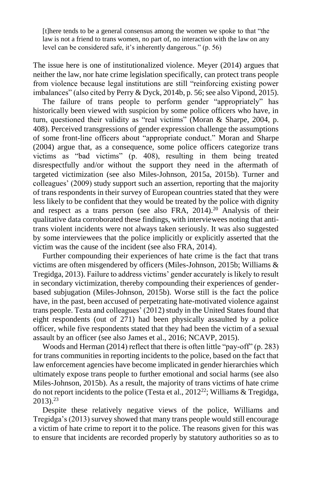[t]here tends to be a general consensus among the women we spoke to that "the law is not a friend to trans women, no part of, no interaction with the law on any level can be considered safe, it's inherently dangerous." (p. 56)

The issue here is one of institutionalized violence. [Meyer \(2014\)](file:///J:/WatchFolder/PROCESS/JIV715026.docx%23bib37) argues that neither the law, nor hate crime legislation specifically, can protect trans people from violence because legal institutions are still "reinforcing existing power imbalances" (also cited b[y Perry & Dyck, 2014b, p.](file:///J:/WatchFolder/PROCESS/JIV715026.docx%23bib49) 56; see also [Vipond, 2015\).](file:///J:/WatchFolder/PROCESS/JIV715026.docx%23bib54)

The failure of trans people to perform gender "appropriately" has historically been viewed with suspicion by some police officers who have, in turn, questioned their validity as "real victims" [\(Moran & Sharpe, 2004, p.](file:///J:/WatchFolder/PROCESS/JIV715026.docx%23bib40) 408). Perceived transgressions of gender expression challenge the assumptions of some front-line officers about "appropriate conduct." [Moran and Sharpe](file:///J:/WatchFolder/PROCESS/JIV715026.docx%23bib40)  [\(2004\)](file:///J:/WatchFolder/PROCESS/JIV715026.docx%23bib40) argue that, as a consequence, some police officers categorize trans victims as "bad victims" (p. 408), resulting in them being treated disrespectfully and/or without the support they need in the aftermath of targeted victimization (see also [Miles-Johnson, 2015a,](file:///J:/WatchFolder/PROCESS/JIV715026.docx%23bib38) 2015b). [Turner and](file:///J:/WatchFolder/PROCESS/JIV715026.docx%23bib53)  [colleagues' \(2009\)](file:///J:/WatchFolder/PROCESS/JIV715026.docx%23bib53) study support such an assertion, reporting that the majority of trans respondents in their survey of European countries stated that they were less likely to be confident that they would be treated by the police with dignity and respect as a trans person (see also FRA,  $2014$  $2014$ ).<sup>20</sup> Analysis of their qualitative data corroborated these findings, with interviewees noting that antitrans violent incidents were not always taken seriously. It was also suggested by some interviewees that the police implicitly or explicitly asserted that the victim was the cause of the incident (see also FRA, 2014).

Further compounding their experiences of hate crime is the fact that trans victims are often misgendered by officers [\(Miles-Johnson, 2015b; Williams &](file:///J:/WatchFolder/PROCESS/JIV715026.docx%23bib58)  [Tregidga, 2013](file:///J:/WatchFolder/PROCESS/JIV715026.docx%23bib58)[\).](file:///J:/WatchFolder/PROCESS/JIV715026.docx%23bib39) Failure to address victims' gender accurately is likely to result in secondary victimization, thereby compounding their experiences of genderbased subjugation [\(Miles-Johnson, 2015b\).](file:///J:/WatchFolder/PROCESS/JIV715026.docx%23bib39) Worse still is the fact the police have, in the past, been accused of perpetrating hate-motivated violence against trans people[. Testa and colleagues' \(2012\)](file:///J:/WatchFolder/PROCESS/JIV715026.docx%23bib52) study in the United States found that eight respondents (out of 271) had been physically assaulted by a police officer, while five respondents stated that they had been the victim of a sexual assault by an officer (see also [James et al., 2016;](file:///J:/WatchFolder/PROCESS/JIV715026.docx%23bib27) [NCAVP, 2015\).](file:///J:/WatchFolder/PROCESS/JIV715026.docx%23bib43)

Woods and Herman (2014) reflect that there is often little "pay-off" (p. 283) for trans communities in reporting incidents to the police, based on the fact that law enforcement agencies have become implicated in gender hierarchies which ultimately expose trans people to further emotional and social harms (see also [Miles-Johnson, 2015b\).](file:///J:/WatchFolder/PROCESS/JIV715026.docx%23bib38) As a result, the majority of trans victims of hate crime do not report incidents to the police (Testa et al.,  $2012^{22}$  $2012^{22}$  $2012^{22}$ ; Williams & Tregidga, [2013\)](file:///J:/WatchFolder/PROCESS/JIV715026.docx%23bib58).[23](file:///J:/WatchFolder/PROCESS/JIV715026.docx%23ENotes24)

Despite these relatively negative views of the police, [Williams and](file:///J:/WatchFolder/PROCESS/JIV715026.docx%23bib58)  [Tregidga's \(2013\)](file:///J:/WatchFolder/PROCESS/JIV715026.docx%23bib58) survey showed that many trans people would still encourage a victim of hate crime to report it to the police. The reasons given for this was to ensure that incidents are recorded properly by statutory authorities so as to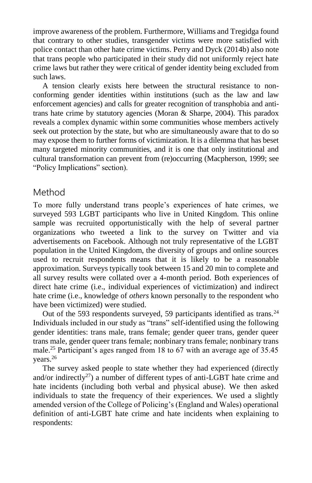improve awareness of the problem. Furthermore, Williams and Tregidga found that contrary to other studies, transgender victims were more satisfied with police contact than other hate crime victims. [Perry and Dyck \(2014b\)](file:///J:/WatchFolder/PROCESS/JIV715026.docx%23bib49) also note that trans people who participated in their study did not uniformly reject hate crime laws but rather they were critical of gender identity being excluded from such laws.

A tension clearly exists here between the structural resistance to nonconforming gender identities within institutions (such as the law and law enforcement agencies) and calls for greater recognition of transphobia and antitrans hate crime by statutory agencies [\(Moran & Sharpe, 2004\).](file:///J:/WatchFolder/PROCESS/JIV715026.docx%23bib40) This paradox reveals a complex dynamic within some communities whose members actively seek out protection by the state, but who are simultaneously aware that to do so may expose them to further forms of victimization. It is a dilemma that has beset many targeted minority communities, and it is one that only institutional and cultural transformation can prevent from (re)occurring [\(Macpherson, 1999;](file:///J:/WatchFolder/PROCESS/JIV715026.docx%23bib34) see "Policy Implications" section).

### Method

To more fully understand trans people's experiences of hate crimes, we surveyed 593 LGBT participants who live in United Kingdom. This online sample was recruited opportunistically with the help of several partner organizations who tweeted a link to the survey on Twitter and via advertisements on Facebook. Although not truly representative of the LGBT population in the United Kingdom, the diversity of groups and online sources used to recruit respondents means that it is likely to be a reasonable approximation. Surveys typically took between 15 and 20 min to complete and all survey results were collated over a 4-month period. Both experiences of direct hate crime (i.e., individual experiences of victimization) and indirect hate crime (i.e., knowledge of *others* known personally to the respondent who have been victimized) were studied.

Out of the 593 respondents surveyed, 59 participants identified as trans.<sup>[24](file:///J:/WatchFolder/PROCESS/JIV715026.docx%23ENotes25)</sup> Individuals included in our study as "trans" self-identified using the following gender identities: trans male, trans female; gender queer trans, gender queer trans male, gender queer trans female; nonbinary trans female; nonbinary trans male.[25](file:///J:/WatchFolder/PROCESS/JIV715026.docx%23ENotes26) Participant's ages ranged from 18 to 67 with an average age of 35.45 years.[26](file:///J:/WatchFolder/PROCESS/JIV715026.docx%23ENotes27)

The survey asked people to state whether they had experienced (directly and/or indirectly<sup>[27](file:///J:/WatchFolder/PROCESS/JIV715026.docx%23ENotes28)</sup>) a number of different types of anti-LGBT hate crime and hate incidents (including both verbal and physical abuse). We then asked individuals to state the frequency of their experiences. We used a slightly amended version of the College of Policing's (England and Wales) operational definition of anti-LGBT hate crime and hate incidents when explaining to respondents: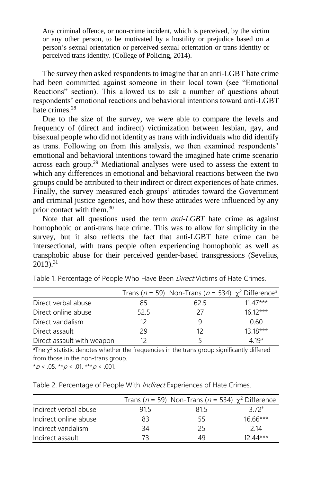Any criminal offence, or non-crime incident, which is perceived, by the victim or any other person, to be motivated by a hostility or prejudice based on a person's sexual orientation or perceived sexual orientation or trans identity or perceived trans identity. [\(College of Policing, 2014\).](file:///J:/WatchFolder/PROCESS/JIV715026.docx%23org12)

The survey then asked respondents to imagine that an anti-LGBT hate crime had been committed against someone in their local town (see "Emotional Reactions" section). This allowed us to ask a number of questions about respondents' emotional reactions and behavioral intentions toward anti-LGBT hate crimes  $28$ 

Due to the size of the survey, we were able to compare the levels and frequency of (direct and indirect) victimization between lesbian, gay, and bisexual people who did not identify as trans with individuals who did identify as trans. Following on from this analysis, we then examined respondents' emotional and behavioral intentions toward the imagined hate crime scenario across each group.<sup>[29](file:///J:/WatchFolder/PROCESS/JIV715026.docx%23ENotes30)</sup> Mediational analyses were used to assess the extent to which any differences in emotional and behavioral reactions between the two groups could be attributed to their indirect or direct experiences of hate crimes. Finally, the survey measured each groups' attitudes toward the Government and criminal justice agencies, and how these attitudes were influenced by any prior contact with them. $30$ 

Note that all questions used the term *anti-LGBT* hate crime as against homophobic or anti-trans hate crime. This was to allow for simplicity in the survey, but it also reflects the fact that anti-LGBT hate crime can be intersectional, with trans people often experiencing homophobic as well as transphobic abuse for their perceived gender-based transgressions (Sevelius,  $2013$ <sup>[31](file:///J:/WatchFolder/PROCESS/JIV715026.docx%23ENotes32)</sup>

|                            |      | Trans ( $n = 59$ ) Non-Trans ( $n = 534$ ) $\chi^2$ Difference <sup>a</sup> |            |
|----------------------------|------|-----------------------------------------------------------------------------|------------|
| Direct verbal abuse        | 85   | 62.5                                                                        | $11.47***$ |
| Direct online abuse        | 52.5 | 27                                                                          | $1612***$  |
| Direct vandalism           | 12   | q                                                                           | 0.60       |
| Direct assault             | 29   | 12                                                                          | 13 18***   |
| Direct assault with weapon |      |                                                                             | 4 19*      |

Table 1. Percentage of People Who Have Been *Direct* Victims of Hate Crimes.

<sup>a</sup>The  $\chi^2$  statistic denotes whether the frequencies in the trans group significantly differed from those in the non-trans group.

 $*p < .05$ .  $*p < .01$ .  $**p < .001$ .

| Table 2. Percentage of People With Indirect Experiences of Hate Crimes. |  |  |
|-------------------------------------------------------------------------|--|--|
|                                                                         |  |  |

|                       |     | Trans ( $n = 59$ ) Non-Trans ( $n = 534$ ) $\chi^2$ Difference |            |
|-----------------------|-----|----------------------------------------------------------------|------------|
| Indirect verbal abuse | 915 | 815                                                            | $372^+$    |
| Indirect online abuse | 83  | 55                                                             | $16.66***$ |
| Indirect vandalism    | 34  | 25                                                             | 2 14       |
| Indirect assault      | 73  | 49                                                             | 12 44***   |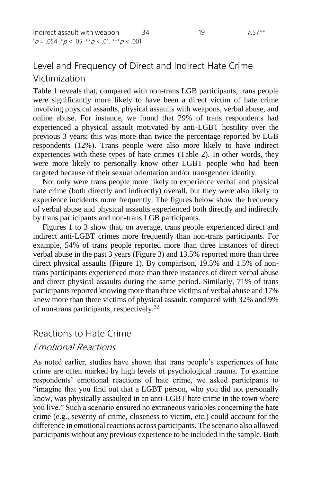| Indirect assault with weapon                                                                       |  | $7.57**$ |
|----------------------------------------------------------------------------------------------------|--|----------|
| $^{\dagger}$ p = .054. $^{\star}$ p < .05. $^{\star\star}$ p < .01. $^{\star\star\star}$ p < .001. |  |          |

# Level and Frequency of Direct and Indirect Hate Crime Victimization

[Table 1](file:///J:/WatchFolder/PROCESS/JIV715026.docx%23Table1) reveals that, compared with non-trans LGB participants, trans people were significantly more likely to have been a direct victim of hate crime involving physical assaults, physical assaults with weapons, verbal abuse, and online abuse. For instance, we found that 29% of trans respondents had experienced a physical assault motivated by anti-LGBT hostility over the previous 3 years; this was more than twice the percentage reported by LGB respondents (12%). Trans people were also more likely to have indirect experiences with these types of hate crimes [\(Table 2\).](file:///J:/WatchFolder/PROCESS/JIV715026.docx%23Table2) In other words, they were more likely to personally know other LGBT people who had been targeted because of their sexual orientation and/or transgender identity.

Not only were trans people more likely to experience verbal and physical hate crime (both directly and indirectly) overall, but they were also likely to experience incidents more frequently. The figures below show the frequency of verbal abuse and physical assaults experienced both directly and indirectly by trans participants and non-trans LGB participants.

[Figures 1 to 3](file:///J:/WatchFolder/PROCESS/JIV715026.docx%23Figure3) show that, on average, trans people experienced direct and indirect anti-LGBT crimes more frequently than non-trans participants. For example, 54% of trans people reported more than three instances of direct verbal abuse in the past 3 year[s \(Figure 3\)](file:///J:/WatchFolder/PROCESS/JIV715026.docx%23Figure3) and 13.5% reported more than three direct physical assaults [\(Figure 1\).](file:///J:/WatchFolder/PROCESS/JIV715026.docx%23Figure1) By comparison, 19.5% and 1.5% of nontrans participants experienced more than three instances of direct verbal abuse and direct physical assaults during the same period. Similarly, 71% of trans participants reported knowing more than three victims of verbal abuse and 17% knew more than three victims of physical assault, compared with 32% and 9% of non-trans participants, respectively.[32](file:///J:/WatchFolder/PROCESS/JIV715026.docx%23ENotes34)

# Reactions to Hate Crime Emotional Reactions

As noted earlier, studies have shown that trans people's experiences of hate crime are often marked by high levels of psychological trauma. To examine respondents' emotional reactions of hate crime, we asked participants to "imagine that you find out that a LGBT person, who you did not personally know, was physically assaulted in an anti-LGBT hate crime in the town where you live." Such a scenario ensured no extraneous variables concerning the hate crime (e.g., severity of crime, closeness to victim, etc.) could account for the difference in emotional reactions across participants. The scenario also allowed participants without any previous experience to be included in the sample. Both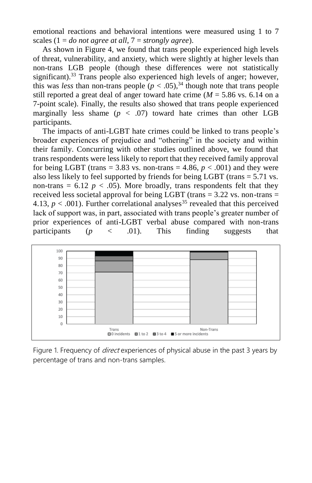emotional reactions and behavioral intentions were measured using 1 to 7 scales (1 = *do not agree at all*, 7 = *strongly agree*).

As shown in [Figure 4,](file:///J:/WatchFolder/PROCESS/JIV715026.docx%23Figure4) we found that trans people experienced high levels of threat, vulnerability, and anxiety, which were slightly at higher levels than non-trans LGB people (though these differences were not statistically significant).<sup>[33](file:///J:/WatchFolder/PROCESS/JIV715026.docx%23ENotes35)</sup> Trans people also experienced high levels of anger; however, this was *less* than non-trans people  $(p < .05)$ ,<sup>[34](file:///J:/WatchFolder/PROCESS/JIV715026.docx%23ENotes36)</sup> though note that trans people still reported a great deal of anger toward hate crime  $(M = 5.86 \text{ vs. } 6.14 \text{ on a})$ 7-point scale). Finally, the results also showed that trans people experienced marginally less shame  $(p < .07)$  toward hate crimes than other LGB participants.

The impacts of anti-LGBT hate crimes could be linked to trans people's broader experiences of prejudice and "othering" in the society and within their family. Concurring with other studies outlined above, we found that trans respondents were less likely to report that they received family approval for being LGBT (trans = 3.83 vs. non-trans = 4.86,  $p < .001$ ) and they were also less likely to feel supported by friends for being LGBT (trans = 5.71 vs. non-trans  $= 6.12$   $p < .05$ ). More broadly, trans respondents felt that they received less societal approval for being LGBT (trans  $=$  3.22 vs. non-trans  $=$ 4.13,  $p < .001$ ). Further correlational analyses<sup>[35](file:///J:/WatchFolder/PROCESS/JIV715026.docx%23ENotes37)</sup> revealed that this perceived lack of support was, in part, associated with trans people's greater number of prior experiences of anti-LGBT verbal abuse compared with non-trans participants (*p* < .01). This finding suggests that



Figure 1. Frequency of *direct* experiences of physical abuse in the past 3 years by percentage of trans and non-trans samples.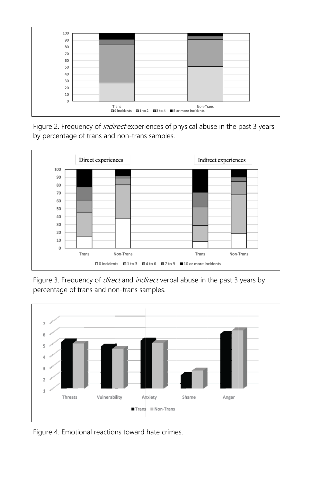

Figure 2. Frequency of *indirect* experiences of physical abuse in the past 3 years by percentage of trans and non-trans samples.



Figure 3. Frequency of *direct* and *indirect* verbal abuse in the past 3 years by percentage of trans and non-trans samples.



Figure 4. Emotional reactions toward hate crimes.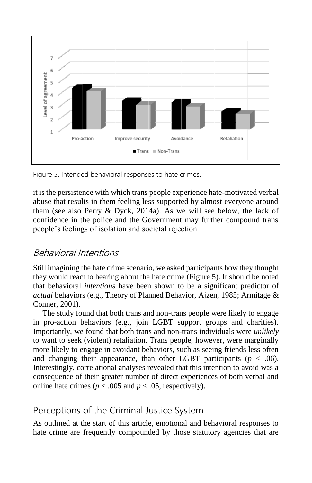

Figure 5. Intended behavioral responses to hate crimes.

it is the persistence with which trans people experience hate-motivated verbal abuse that results in them feeling less supported by almost everyone around them (see also [Perry & Dyck, 2014a\).](file:///J:/WatchFolder/PROCESS/JIV715026.docx%23bib48) As we will see below, the lack of confidence in the police and the Government may further compound trans people's feelings of isolation and societal rejection.

# Behavioral Intentions

Still imagining the hate crime scenario, we asked participants how they thought they would react to hearing about the hate crime [\(Figure 5\)](file:///J:/WatchFolder/PROCESS/JIV715026.docx%23Figure5). It should be noted that behavioral *intentions* have been shown to be a significant predictor of *actual* behaviors (e.g., Theory of Planned Behavior, [Ajzen, 1985;](file:///J:/WatchFolder/PROCESS/JIV715026.docx%23bib0) [Armitage &](file:///J:/WatchFolder/PROCESS/JIV715026.docx%23bib2)  [Conner, 2001\).](file:///J:/WatchFolder/PROCESS/JIV715026.docx%23bib2)

The study found that both trans and non-trans people were likely to engage in pro-action behaviors (e.g., join LGBT support groups and charities). Importantly, we found that both trans and non-trans individuals were *unlikely* to want to seek (violent) retaliation. Trans people, however, were marginally more likely to engage in avoidant behaviors, such as seeing friends less often and changing their appearance, than other LGBT participants ( $p < .06$ ). Interestingly, correlational analyses revealed that this intention to avoid was a consequence of their greater number of direct experiences of both verbal and online hate crimes ( $p < .005$  and  $p < .05$ , respectively).

# Perceptions of the Criminal Justice System

As outlined at the start of this article, emotional and behavioral responses to hate crime are frequently compounded by those statutory agencies that are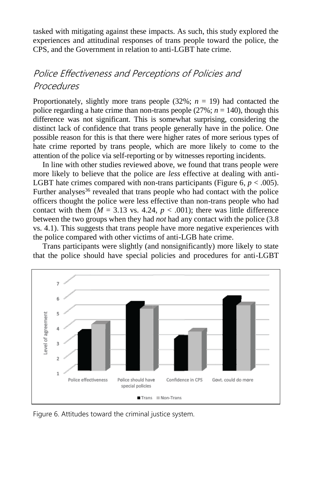tasked with mitigating against these impacts. As such, this study explored the experiences and attitudinal responses of trans people toward the police, the CPS, and the Government in relation to anti-LGBT hate crime.

# Police Effectiveness and Perceptions of Policies and **Procedures**

Proportionately, slightly more trans people  $(32\%; n = 19)$  had contacted the police regarding a hate crime than non-trans people  $(27\%; n = 140)$ , though this difference was not significant. This is somewhat surprising, considering the distinct lack of confidence that trans people generally have in the police. One possible reason for this is that there were higher rates of more serious types of hate crime reported by trans people, which are more likely to come to the attention of the police via self-reporting or by witnesses reporting incidents.

In line with other studies reviewed above, we found that trans people were more likely to believe that the police are *less* effective at dealing with anti-LGBT hate crimes compared with non-trans participants (Figure  $6, p < .005$ ). Further analyses<sup>[36](file:///J:/WatchFolder/PROCESS/JIV715026.docx%23ENotes38)</sup> revealed that trans people who had contact with the police officers thought the police were less effective than non-trans people who had contact with them  $(M = 3.13$  vs. 4.24,  $p < .001$ ; there was little difference between the two groups when they had *not* had any contact with the police (3.8 vs. 4.1). This suggests that trans people have more negative experiences with the police compared with other victims of anti-LGB hate crime.

Trans participants were slightly (and nonsignificantly) more likely to state that the police should have special policies and procedures for anti-LGBT



Figure 6. Attitudes toward the criminal justice system.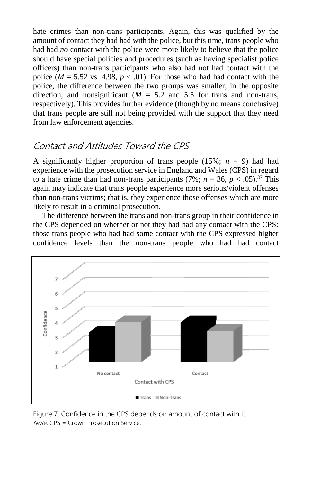hate crimes than non-trans participants. Again, this was qualified by the amount of contact they had had with the police, but this time, trans people who had had *no* contact with the police were more likely to believe that the police should have special policies and procedures (such as having specialist police officers) than non-trans participants who also had not had contact with the police ( $M = 5.52$  vs. 4.98,  $p < .01$ ). For those who had had contact with the police, the difference between the two groups was smaller, in the opposite direction, and nonsignificant  $(M = 5.2$  and 5.5 for trans and non-trans, respectively). This provides further evidence (though by no means conclusive) that trans people are still not being provided with the support that they need from law enforcement agencies.

# Contact and Attitudes Toward the CPS

A significantly higher proportion of trans people  $(15\%; n = 9)$  had had experience with the prosecution service in England and Wales (CPS) in regard to a hate crime than had non-trans participants (7%;  $n = 36$ ,  $p < .05$ ).<sup>[37](file:///J:/WatchFolder/PROCESS/JIV715026.docx%23ENotes39)</sup> This again may indicate that trans people experience more serious/violent offenses than non-trans victims; that is, they experience those offenses which are more likely to result in a criminal prosecution.

The difference between the trans and non-trans group in their confidence in the CPS depended on whether or not they had had any contact with the CPS: those trans people who had had some contact with the CPS expressed higher confidence levels than the non-trans people who had had contact



Figure 7. Confidence in the CPS depends on amount of contact with it. Note. CPS = Crown Prosecution Service.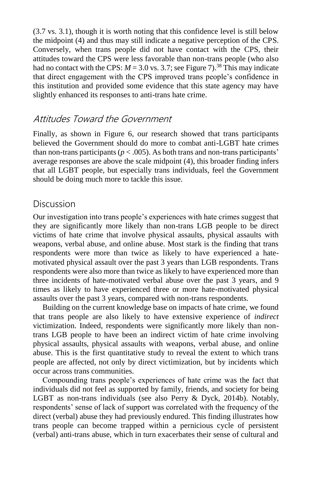(3.7 vs. 3.1), though it is worth noting that this confidence level is still below the midpoint (4) and thus may still indicate a negative perception of the CPS. Conversely, when trans people did not have contact with the CPS, their attitudes toward the CPS were less favorable than non-trans people (who also had no contact with the CPS:  $M = 3.0$  vs. 3.7; see [Figure 7\)](file:///J:/WatchFolder/PROCESS/JIV715026.docx%23Figure7).<sup>[38](file:///J:/WatchFolder/PROCESS/JIV715026.docx%23ENotes40)</sup> This may indicate that direct engagement with the CPS improved trans people's confidence in this institution and provided some evidence that this state agency may have slightly enhanced its responses to anti-trans hate crime.

### Attitudes Toward the Government

Finally, as shown in [Figure 6,](file:///J:/WatchFolder/PROCESS/JIV715026.docx%23Figure6) our research showed that trans participants believed the Government should do more to combat anti-LGBT hate crimes than non-trans participants ( $p < .005$ ). As both trans and non-trans participants' average responses are above the scale midpoint (4), this broader finding infers that all LGBT people, but especially trans individuals, feel the Government should be doing much more to tackle this issue.

## Discussion

Our investigation into trans people's experiences with hate crimes suggest that they are significantly more likely than non-trans LGB people to be direct victims of hate crime that involve physical assaults, physical assaults with weapons, verbal abuse, and online abuse. Most stark is the finding that trans respondents were more than twice as likely to have experienced a hatemotivated physical assault over the past 3 years than LGB respondents. Trans respondents were also more than twice as likely to have experienced more than three incidents of hate-motivated verbal abuse over the past 3 years, and 9 times as likely to have experienced three or more hate-motivated physical assaults over the past 3 years, compared with non-trans respondents.

Building on the current knowledge base on impacts of hate crime, we found that trans people are also likely to have extensive experience of *indirect* victimization. Indeed, respondents were significantly more likely than nontrans LGB people to have been an indirect victim of hate crime involving physical assaults, physical assaults with weapons, verbal abuse, and online abuse. This is the first quantitative study to reveal the extent to which trans people are affected, not only by direct victimization, but by incidents which occur across trans communities.

Compounding trans people's experiences of hate crime was the fact that individuals did not feel as supported by family, friends, and society for being LGBT as non-trans individuals (see also [Perry & Dyck, 2014b\).](file:///J:/WatchFolder/PROCESS/JIV715026.docx%23bib49) Notably, respondents' sense of lack of support was correlated with the frequency of the direct (verbal) abuse they had previously endured. This finding illustrates how trans people can become trapped within a pernicious cycle of persistent (verbal) anti-trans abuse, which in turn exacerbates their sense of cultural and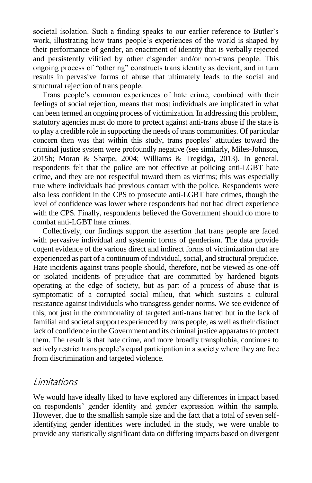societal isolation. Such a finding speaks to our earlier reference to Butler's work, illustrating how trans people's experiences of the world is shaped by their performance of gender, an enactment of identity that is verbally rejected and persistently vilified by other cisgender and/or non-trans people. This ongoing process of "othering" constructs trans identity as deviant, and in turn results in pervasive forms of abuse that ultimately leads to the social and structural rejection of trans people.

Trans people's common experiences of hate crime, combined with their feelings of social rejection, means that most individuals are implicated in what can been termed an ongoing process of victimization. In addressing this problem, statutory agencies must do more to protect against anti-trans abuse if the state is to play a credible role in supporting the needs of trans communities. Of particular concern then was that within this study, trans peoples' attitudes toward the criminal justice system were profoundly negative (see similarly, [Miles-Johnson,](file:///J:/WatchFolder/PROCESS/JIV715026.docx%23bib38)  [2015b](file:///J:/WatchFolder/PROCESS/JIV715026.docx%23bib38); [Moran & Sharpe, 2004;](file:///J:/WatchFolder/PROCESS/JIV715026.docx%23bib40) [Williams & Tregidga, 2013\).](file:///J:/WatchFolder/PROCESS/JIV715026.docx%23bib58) In general, respondents felt that the police are not effective at policing anti-LGBT hate crime, and they are not respectful toward them as victims; this was especially true where individuals had previous contact with the police. Respondents were also less confident in the CPS to prosecute anti-LGBT hate crimes, though the level of confidence was lower where respondents had not had direct experience with the CPS. Finally, respondents believed the Government should do more to combat anti-LGBT hate crimes.

Collectively, our findings support the assertion that trans people are faced with pervasive individual and systemic forms of genderism. The data provide cogent evidence of the various direct and indirect forms of victimization that are experienced as part of a continuum of individual, social, and structural prejudice. Hate incidents against trans people should, therefore, not be viewed as one-off or isolated incidents of prejudice that are committed by hardened bigots operating at the edge of society, but as part of a process of abuse that is symptomatic of a corrupted social milieu, that which sustains a cultural resistance against individuals who transgress gender norms. We see evidence of this, not just in the commonality of targeted anti-trans hatred but in the lack of familial and societal support experienced by trans people, as well as their distinct lack of confidence in the Government and its criminal justice apparatus to protect them. The result is that hate crime, and more broadly transphobia, continues to actively restrict trans people's equal participation in a society where they are free from discrimination and targeted violence.

### Limitations

We would have ideally liked to have explored any differences in impact based on respondents' gender identity and gender expression within the sample. However, due to the smallish sample size and the fact that a total of seven selfidentifying gender identities were included in the study, we were unable to provide any statistically significant data on differing impacts based on divergent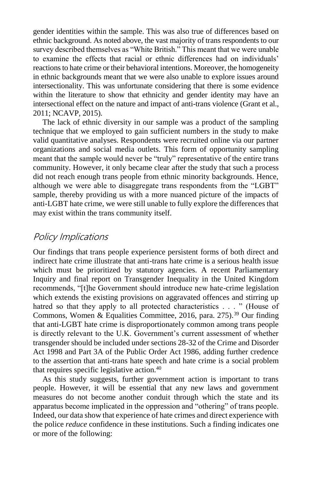gender identities within the sample. This was also true of differences based on ethnic background. As noted above, the vast majority of trans respondents to our survey described themselves as "White British." This meant that we were unable to examine the effects that racial or ethnic differences had on individuals' reactions to hate crime or their behavioral intentions. Moreover, the homogeneity in ethnic backgrounds meant that we were also unable to explore issues around intersectionality. This was unfortunate considering that there is some evidence within the literature to show that ethnicity and gender identity may have an intersectional effect on the nature and impact of anti-trans violence [\(Grant et al.,](file:///J:/WatchFolder/PROCESS/JIV715026.docx%23bib19)  [2011;](file:///J:/WatchFolder/PROCESS/JIV715026.docx%23bib19) [NCAVP, 2015\).](file:///J:/WatchFolder/PROCESS/JIV715026.docx%23bib43)

The lack of ethnic diversity in our sample was a product of the sampling technique that we employed to gain sufficient numbers in the study to make valid quantitative analyses. Respondents were recruited online via our partner organizations and social media outlets. This form of opportunity sampling meant that the sample would never be "truly" representative of the entire trans community. However, it only became clear after the study that such a process did not reach enough trans people from ethnic minority backgrounds. Hence, although we were able to disaggregate trans respondents from the "LGBT" sample, thereby providing us with a more nuanced picture of the impacts of anti-LGBT hate crime, we were still unable to fully explore the differences that may exist within the trans community itself.

### Policy Implications

Our findings that trans people experience persistent forms of both direct and indirect hate crime illustrate that anti-trans hate crime is a serious health issue which must be prioritized by statutory agencies. A recent Parliamentary Inquiry and final report on Transgender Inequality in the United Kingdom recommends, "[t]he Government should introduce new hate-crime legislation which extends the existing provisions on aggravated offences and stirring up hatred so that they apply to all protected characteristics . . . " (House of Commons, Women & Equalities Committee, 2016, para. 275).<sup>[39](file:///J:/WatchFolder/PROCESS/JIV715026.docx%23ENotes41)</sup> Our finding that anti-LGBT hate crime is disproportionately common among trans people is directly relevant to the U.K. Government's current assessment of whether transgender should be included under sections 28-32 of the Crime and Disorder Act 1998 and Part 3A of the Public Order Act 1986, adding further credence to the assertion that anti-trans hate speech and hate crime is a social problem that requires specific legislative action.[40](file:///J:/WatchFolder/PROCESS/JIV715026.docx%23ENotes42)

As this study suggests, further government action is important to trans people. However, it will be essential that any new laws and government measures do not become another conduit through which the state and its apparatus become implicated in the oppression and "othering" of trans people. Indeed, our data show that experience of hate crimes and direct experience with the police *reduce* confidence in these institutions. Such a finding indicates one or more of the following: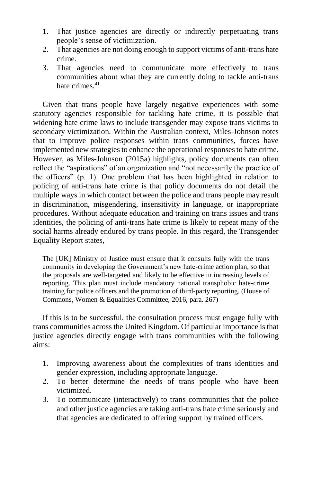- 1. That justice agencies are directly or indirectly perpetuating trans people's sense of victimization.
- 2. That agencies are not doing enough to support victims of anti-trans hate crime.
- 3. That agencies need to communicate more effectively to trans communities about what they are currently doing to tackle anti-trans hate crimes  $41$

Given that trans people have largely negative experiences with some statutory agencies responsible for tackling hate crime, it is possible that widening hate crime laws to include transgender may expose trans victims to secondary victimization. Within the Australian context, Miles-Johnson notes that to improve police responses within trans communities, forces have implemented new strategies to enhance the operational responses to hate crime. However, as Miles-Johnson (2015a) highlights, policy documents can often reflect the "aspirations" of an organization and "not necessarily the practice of the officers" (p. 1). One problem that has been highlighted in relation to policing of anti-trans hate crime is that policy documents do not detail the multiple ways in which contact between the police and trans people may result in discrimination, misgendering, insensitivity in language, or inappropriate procedures. Without adequate education and training on trans issues and trans identities, the policing of anti-trans hate crime is likely to repeat many of the social harms already endured by trans people. In this regard, the Transgender Equality Report states,

The [UK] Ministry of Justice must ensure that it consults fully with the trans community in developing the Government's new hate-crime action plan, so that the proposals are well-targeted and likely to be effective in increasing levels of reporting. This plan must include mandatory national transphobic hate-crime training for police officers and the promotion of third-party reporting. (House of Commons, Women & Equalities Committee, 2016, para. 267)

If this is to be successful, the consultation process must engage fully with trans communities across the United Kingdom. Of particular importance is that justice agencies directly engage with trans communities with the following aims:

- 1. Improving awareness about the complexities of trans identities and gender expression, including appropriate language.
- 2. To better determine the needs of trans people who have been victimized.
- 3. To communicate (interactively) to trans communities that the police and other justice agencies are taking anti-trans hate crime seriously and that agencies are dedicated to offering support by trained officers.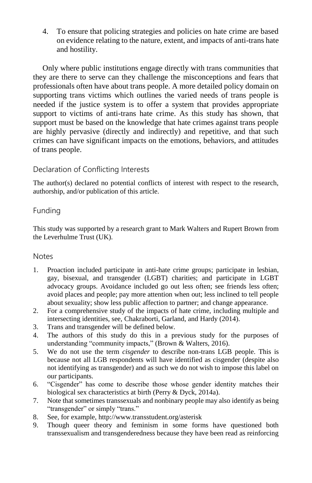4. To ensure that policing strategies and policies on hate crime are based on evidence relating to the nature, extent, and impacts of anti-trans hate and hostility.

Only where public institutions engage directly with trans communities that they are there to serve can they challenge the misconceptions and fears that professionals often have about trans people. A more detailed policy domain on supporting trans victims which outlines the varied needs of trans people is needed if the justice system is to offer a system that provides appropriate support to victims of anti-trans hate crime. As this study has shown, that support must be based on the knowledge that hate crimes against trans people are highly pervasive (directly and indirectly) and repetitive, and that such crimes can have significant impacts on the emotions, behaviors, and attitudes of trans people.

#### Declaration of Conflicting Interests

The author(s) declared no potential conflicts of interest with respect to the research, authorship, and/or publication of this article.

### Funding

This study was supported by a research grant to Mark Walters and Rupert Brown from the Leverhulme Trust (UK).

#### **Notes**

- 1. Proaction included participate in anti-hate crime groups; participate in lesbian, gay, bisexual, and transgender (LGBT) charities; and participate in LGBT advocacy groups. Avoidance included go out less often; see friends less often; avoid places and people; pay more attention when out; less inclined to tell people about sexuality; show less public affection to partner; and change appearance.
- 2. For a comprehensive study of the impacts of hate crime, including multiple and intersecting identities, see[, Chakraborti, Garland, and Hardy \(2014\).](file:///J:/WatchFolder/PROCESS/JIV715026.docx%23bib9)
- 3. Trans and transgender will be defined below.
- 4. The authors of this study do this in a previous study for the purposes of understanding "community impacts," (Brown & Walters, 2016).
- 5. We do not use the term *cisgender* to describe non-trans LGB people. This is because not all LGB respondents will have identified as cisgender (despite also not identifying as transgender) and as such we do not wish to impose this label on our participants.
- 6. "Cisgender" has come to describe those whose gender identity matches their biological sex characteristics at birth [\(Perry & Dyck, 2014a\).](file:///J:/WatchFolder/PROCESS/JIV715026.docx%23bib48)
- 7. Note that sometimes transsexuals and nonbinary people may also identify as being "transgender" or simply "trans."
- 8. See, for example, http://www.transstudent.org/asterisk
- 9. Though queer theory and feminism in some forms have questioned both transsexualism and transgenderedness because they have been read as reinforcing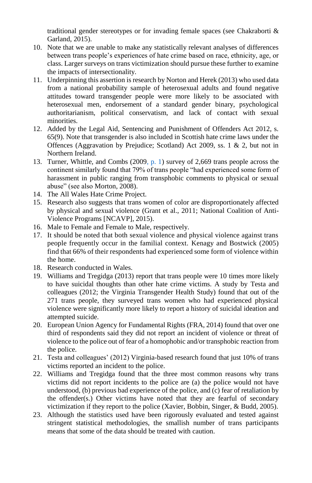traditional gender stereotypes or for invading female spaces (see [Chakraborti &](file:///J:/WatchFolder/PROCESS/JIV715026.docx%23bib8)  [Garland, 2015\).](file:///J:/WatchFolder/PROCESS/JIV715026.docx%23bib8)

- 10. Note that we are unable to make any statistically relevant analyses of differences between trans people's experiences of hate crime based on race, ethnicity, age, or class. Larger surveys on trans victimization should pursue these further to examine the impacts of intersectionality.
- 11. Underpinning this assertion is research by Norton and Herek (2013) who used data from a national probability sample of heterosexual adults and found negative attitudes toward transgender people were more likely to be associated with heterosexual men, endorsement of a standard gender binary, psychological authoritarianism, political conservatism, and lack of contact with sexual minorities.
- 12. Added by the Legal Aid, Sentencing and Punishment of Offenders Act 2012, s. 65(9). Note that transgender is also included in Scottish hate crime laws under the Offences (Aggravation by Prejudice; Scotland) Act 2009, ss. 1 & 2, but not in Northern Ireland.
- 13. [Turner, Whittle, and Combs \(2009, p. 1\)](file:///J:/WatchFolder/PROCESS/JIV715026.docx%23bib53) survey of 2,669 trans people across the continent similarly found that 79% of trans people "had experienced some form of harassment in public ranging from transphobic comments to physical or sexual abuse" (see also [Morton, 2008\)](file:///J:/WatchFolder/PROCESS/JIV715026.docx%23bib41).
- 14. The All Wales Hate Crime Project.
- 15. Research also suggests that trans women of color are disproportionately affected by physical and sexual violence [\(Grant et al., 2011;](file:///J:/WatchFolder/PROCESS/JIV715026.docx%23bib19) National Coalition of Anti-Violence Programs [\[NCAVP\], 2015\).](file:///J:/WatchFolder/PROCESS/JIV715026.docx%23bib43)
- 16. Male to Female and Female to Male, respectively.
- 17. It should be noted that both sexual violence and physical violence against trans people frequently occur in the familial context. [Kenagy and Bostwick \(2005\)](file:///J:/WatchFolder/PROCESS/JIV715026.docx%23bib29) find that 66% of their respondents had experienced some form of violence within the home.
- 18. Research conducted in Wales.
- 19. [Williams and Tregidga \(2013\)](file:///J:/WatchFolder/PROCESS/JIV715026.docx%23bib58) report that trans people were 10 times more likely to have suicidal thoughts than other hate crime victims. A study by [Testa and](file:///J:/WatchFolder/PROCESS/JIV715026.docx%23bib52)  [colleagues \(2012;](file:///J:/WatchFolder/PROCESS/JIV715026.docx%23bib52) the Virginia Transgender Health Study) found that out of the 271 trans people, they surveyed trans women who had experienced physical violence were significantly more likely to report a history of suicidal ideation and attempted suicide.
- 20. European Union Agency for Fundamental Rights (FRA, 2014) found that over one third of respondents said they did not report an incident of violence or threat of violence to the police out of fear of a homophobic and/or transphobic reaction from the police.
- 21. [Testa and colleagues' \(2012\)](file:///J:/WatchFolder/PROCESS/JIV715026.docx%23bib52) Virginia-based research found that just 10% of trans victims reported an incident to the police.
- 22. Williams and Tregidga found that the three most common reasons why trans victims did not report incidents to the police are (a) the police would not have understood, (b) previous bad experience of the police, and (c) fear of retaliation by the offender(s.) Other victims have noted that they are fearful of secondary victimization if they report to the police (Xavier, Bobbin, Singer, & Budd, 2005).
- 23. Although the statistics used have been rigorously evaluated and tested against stringent statistical methodologies, the smallish number of trans participants means that some of the data should be treated with caution.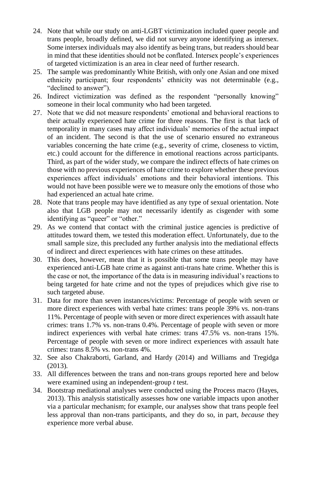- 24. Note that while our study on anti-LGBT victimization included queer people and trans people, broadly defined, we did not survey anyone identifying as intersex. Some intersex individuals may also identify as being trans, but readers should bear in mind that these identities should not be conflated. Intersex people's experiences of targeted victimization is an area in clear need of further research.
- 25. The sample was predominantly White British, with only one Asian and one mixed ethnicity participant; four respondents' ethnicity was not determinable (e.g., "declined to answer").
- 26. Indirect victimization was defined as the respondent "personally knowing" someone in their local community who had been targeted.
- 27. Note that we did not measure respondents' emotional and behavioral reactions to their actually experienced hate crime for three reasons. The first is that lack of temporality in many cases may affect individuals' memories of the actual impact of an incident. The second is that the use of scenario ensured no extraneous variables concerning the hate crime (e.g., severity of crime, closeness to victim, etc.) could account for the difference in emotional reactions across participants. Third, as part of the wider study, we compare the indirect effects of hate crimes on those with no previous experiences of hate crime to explore whether these previous experiences affect individuals' emotions and their behavioral intentions. This would not have been possible were we to measure only the emotions of those who had experienced an actual hate crime.
- 28. Note that trans people may have identified as any type of sexual orientation. Note also that LGB people may not necessarily identify as cisgender with some identifying as "queer" or "other."
- 29. As we contend that contact with the criminal justice agencies is predictive of attitudes toward them, we tested this moderation effect. Unfortunately, due to the small sample size, this precluded any further analysis into the mediational effects of indirect and direct experiences with hate crimes on these attitudes.
- 30. This does, however, mean that it is possible that some trans people may have experienced anti-LGB hate crime as against anti-trans hate crime. Whether this is the case or not, the importance of the data is in measuring individual's reactions to being targeted for hate crime and not the types of prejudices which give rise to such targeted abuse.
- 31. Data for more than seven instances/victims: Percentage of people with seven or more direct experiences with verbal hate crimes: trans people 39% vs. non-trans 11%. Percentage of people with seven or more direct experiences with assault hate crimes: trans 1.7% vs. non-trans 0.4%. Percentage of people with seven or more indirect experiences with verbal hate crimes: trans 47.5% vs. non-trans 15%. Percentage of people with seven or more indirect experiences with assault hate crimes: trans 8.5% vs. non-trans 4%.
- 32. See also [Chakraborti, Garland, and Hardy \(2014\)](file:///J:/WatchFolder/PROCESS/JIV715026.docx%23bib9) and [Williams and Tregidga](file:///J:/WatchFolder/PROCESS/JIV715026.docx%23bib58)  [\(2013\)](file:///J:/WatchFolder/PROCESS/JIV715026.docx%23bib58)*.*
- 33. All differences between the trans and non-trans groups reported here and below were examined using an independent-group *t* test.
- 34. Bootstrap mediational analyses were conducted using the Process macro (Hayes, 2013). This analysis statistically assesses how one variable impacts upon another via a particular mechanism; for example, our analyses show that trans people feel less approval than non-trans participants, and they do so, in part, *because* they experience more verbal abuse.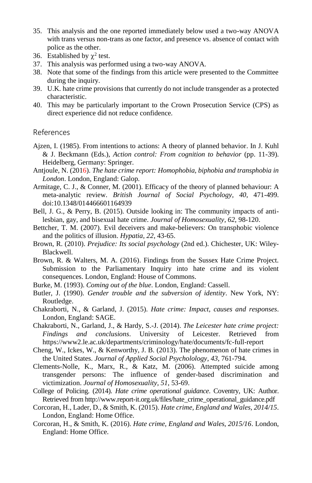- 35. This analysis and the one reported immediately below used a two-way ANOVA with trans versus non-trans as one factor, and presence vs. absence of contact with police as the other.
- 36. Established by  $\chi^2$  test.
- 37. This analysis was performed using a two-way ANOVA.
- 38. Note that some of the findings from this article were presented to the Committee during the inquiry.
- 39. U.K. hate crime provisions that currently do not include transgender as a protected characteristic.
- 40. This may be particularly important to the Crown Prosecution Service (CPS) as direct experience did not reduce confidence.

#### References

- Ajzen, I. (1985). From intentions to actions: A theory of planned behavior. In J. Kuhl & J. Beckmann (Eds.), *Action control: From cognition to behavior* (pp. 11-39). Heidelberg, Germany: Springer.
- Antjoule, N. (2016). *The hate crime report: Homophobia, biphobia and transphobia in London*. London, England: Galop.
- Armitage, C. J., & Conner, M. (2001). Efficacy of the theory of planned behaviour: A meta-analytic review. *British Journal of Social Psychology, 40*, 471-499. doi:10.1348/014466601164939
- Bell, J. G., & Perry, B. (2015). Outside looking in: The community impacts of antilesbian, gay, and bisexual hate crime. *Journal of Homosexuality, 62*, 98-120.
- Bettcher, T. M. (2007). Evil deceivers and make-believers: On transphobic violence and the politics of illusion. *Hypatia, 22*, 43-65.
- Brown, R. (2010). *Prejudice: Its social psychology* (2nd ed.). Chichester, UK: Wiley-Blackwell.
- Brown, R. & Walters, M. A. (2016). Findings from the Sussex Hate Crime Project. Submission to the Parliamentary Inquiry into hate crime and its violent consequences. London, England: House of Commons.
- Burke, M. (1993). *Coming out of the blue*. London, England: Cassell.
- Butler, J. (1990). *Gender trouble and the subversion of identity*. New York, NY: Routledge.
- Chakraborti, N., & Garland, J. (2015). *Hate crime: Impact, causes and responses*. London, England: SAGE.
- Chakraborti, N., Garland, J., & Hardy, S.-J. (2014). *The Leicester hate crime project: Findings and conclusions*. University of Leicester. Retrieved from https://www2.le.ac.uk/departments/criminology/hate/documents/fc-full-report
- Cheng, W., Ickes, W., & Kenworthy, J. B. (2013). The phenomenon of hate crimes in the United States. *Journal of Applied Social Psycholology, 43*, 761-794.
- Clements-Nolle, K., Marx, R., & Katz, M. (2006). Attempted suicide among transgender persons: The influence of gender-based discrimination and victimization. *Journal of Homosexuality, 51*, 53-69.
- College of Policing. (2014). *Hate crime operational guidance*. Coventry, UK: Author. Retrieved from http://www.report-it.org.uk/files/hate\_crime\_operational\_guidance.pdf
- Corcoran, H., Lader, D., & Smith, K. (2015). *Hate crime, England and Wales, 2014/15*. London, England: Home Office.
- Corcoran, H., & Smith, K. (2016). *Hate crime, England and Wales, 2015/16*. London, England: Home Office.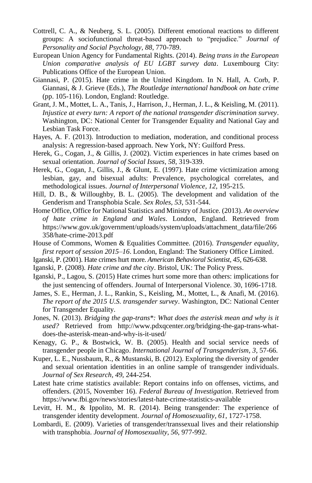- Cottrell, C. A., & Neuberg, S. L. (2005). Different emotional reactions to different groups: A sociofunctional threat-based approach to "prejudice." *Journal of Personality and Social Psychology, 88*, 770-789.
- European Union Agency for Fundamental Rights. (2014). *Being trans in the European Union comparative analysis of EU LGBT survey data*. Luxembourg City: Publications Office of the European Union.
- Giannasi, P. (2015). Hate crime in the United Kingdom. In N. Hall, A. Corb, P. Giannasi, & J. Grieve (Eds.), *The Routledge international handbook on hate crime* (pp. 105-116). London, England: Routledge.
- Grant, J. M., Mottet, L. A., Tanis, J., Harrison, J., Herman, J. L., & Keisling, M. (2011). *Injustice at every turn: A report of the national transgender discrimination survey*. Washington, DC: National Center for Transgender Equality and National Gay and Lesbian Task Force.
- Hayes, A. F. (2013). Introduction to mediation, moderation, and conditional process analysis: A regression-based approach. New York, NY: Guilford Press.
- Herek, G., Cogan, J., & Gillis, J. (2002). Victim experiences in hate crimes based on sexual orientation. *Journal of Social Issues, 58*, 319-339.
- Herek, G., Cogan, J., Gillis, J., & Glunt, E. (1997). Hate crime victimization among lesbian, gay, and bisexual adults: Prevalence, psychological correlates, and methodological issues. *Journal of Interpersonal Violence, 12*, 195-215.
- Hill, D. B., & Willoughby, B. L. (2005). The development and validation of the Genderism and Transphobia Scale. *Sex Roles, 53*, 531-544.
- Home Office, Office for National Statistics and Ministry of Justice. (2013). *An overview of hate crime in England and Wales*. London, England. Retrieved from https://www.gov.uk/government/uploads/system/uploads/attachment\_data/file/266 358/hate-crime-2013.pdf
- House of Commons, Women & Equalities Committee. (2016). *Transgender equality, first report of session 2015–16*. London, England: The Stationery Office Limited.
- Iganski, P. (2001). Hate crimes hurt more. *American Behavioral Scientist, 45*, 626-638.
- Iganski, P. (2008). *Hate crime and the city*. Bristol, UK: The Policy Press.
- Iganski, P., Lagou, S. (2015) Hate crimes hurt some more than others: implications for the just sentencing of offenders. Journal of Interpersonal Violence. 30, 1696-1718.
- James, S. E., Herman, J. L., Rankin, S., Keisling, M., Mottet, L., & Anafi, M. (2016). *The report of the 2015 U.S. transgender survey*. Washington, DC: National Center for Transgender Equality.
- Jones, N. (2013). *Bridging the gap-trans\*: What does the asterisk mean and why is it used?* Retrieved from http://www.pdxqcenter.org/bridging-the-gap-trans-whatdoes-the-asterisk-mean-and-why-is-it-used/
- Kenagy, G. P., & Bostwick, W. B. (2005). Health and social service needs of transgender people in Chicago. *International Journal of Transgenderism, 3*, 57-66.
- Kuper, L. E., Nussbaum, R., & Mustanski, B. (2012). Exploring the diversity of gender and sexual orientation identities in an online sample of transgender individuals. *Journal of Sex Research, 49*, 244-254.
- Latest hate crime statistics available: Report contains info on offenses, victims, and offenders. (2015, November 16). *Federal Bureau of Investigation*. Retrieved from https://www.fbi.gov/news/stories/latest-hate-crime-statistics-available
- Levitt, H. M., & Ippolito, M. R. (2014). Being transgender: The experience of transgender identity development. *Journal of Homosexuality, 61*, 1727-1758.
- Lombardi, E. (2009). Varieties of transgender/transsexual lives and their relationship with transphobia. *Journal of Homosexuality, 56*, 977-992.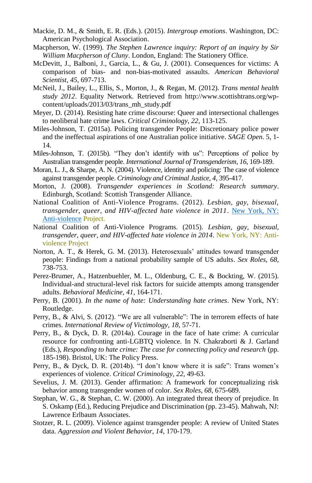- Mackie, D. M., & Smith, E. R. (Eds.). (2015). *Intergroup emotions*. Washington, DC: American Psychological Association.
- Macpherson, W. (1999). *The Stephen Lawrence inquiry: Report of an inquiry by Sir William Macpherson of Cluny*. London, England: The Stationery Office.
- McDevitt, J., Balboni, J., Garcia, L., & Gu, J. (2001). Consequences for victims: A comparison of bias- and non-bias-motivated assaults. *American Behavioral Scientist, 45*, 697-713.
- McNeil, J., Bailey, L., Ellis, S., Morton, J., & Regan, M. (2012). *Trans mental health study 2012*. Equality Network. Retrieved from http://www.scottishtrans.org/wpcontent/uploads/2013/03/trans\_mh\_study.pdf
- Meyer, D. (2014). Resisting hate crime discourse: Queer and intersectional challenges to neoliberal hate crime laws. *Critical Criminology, 22*, 113-125.
- Miles-Johnson, T. (2015a). Policing transgender People: Discretionary police power and the ineffectual aspirations of one Australian police initiative. *SAGE Open*. 5, 1- 14.
- Miles-Johnson, T. (2015b). "They don't identify with us": Perceptions of police by Australian transgender people. *International Journal of Transgenderism, 16*, 169-189.
- Moran, L. J., & Sharpe, A. N. (2004). Violence, identity and policing: The case of violence against transgender people. *Criminology and Criminal Justice, 4*, 395-417.
- Morton, J. (2008). *Transgender experiences in Scotland: Research summary*. Edinburgh, Scotland: Scottish Transgender Alliance.
- National Coalition of Anti-Violence Programs. (2012). *Lesbian, gay, bisexual, transgender, queer, and HIV-affected hate violence in 2011*. [New York, NY:](New%20York,%20NY:%20Anti-violence)  [Anti-violence](New%20York,%20NY:%20Anti-violence) Project.
- National Coalition of Anti-Violence Programs. (2015). *Lesbian, gay, bisexual, transgender, queer, and HIV-affected hate violence in 2014*. New York, NY: Antiviolence Project
- Norton, A. T., & Herek, G. M. (2013). Heterosexuals' attitudes toward transgender people: Findings from a national probability sample of US adults. *Sex Roles, 68*, 738-753.
- Perez-Brumer, A., Hatzenbuehler, M. L., Oldenburg, C. E., & Bockting, W. (2015). Individual-and structural-level risk factors for suicide attempts among transgender adults. *Behavioral Medicine, 41*, 164-171.
- Perry, B. (2001). *In the name of hate: Understanding hate crimes*. New York, NY: Routledge.
- Perry, B., & Alvi, S. (2012). "We are all vulnerable": The in terrorem effects of hate crimes. *International Review of Victimology, 18*, 57-71.
- Perry, B., & Dyck, D. R. (2014a). Courage in the face of hate crime: A curricular resource for confronting anti-LGBTQ violence. In N. Chakraborti & J. Garland (Eds.), *Responding to hate crime: The case for connecting policy and research* (pp. 185-198). Bristol, UK: The Policy Press.
- Perry, B., & Dyck, D. R. (2014b). "I don't know where it is safe": Trans women's experiences of violence. *Critical Criminology, 22*, 49-63.
- Sevelius, J. M. (2013). Gender affirmation: A framework for conceptualizing risk behavior among transgender women of color. *Sex Roles, 68*, 675-689.
- Stephan, W. G., & Stephan, C. W. (2000). An integrated threat theory of prejudice. In S. Oskamp (Ed.), Reducing Prejudice and Discrimination (pp. 23-45). Mahwah, NJ: Lawrence Erlbaum Associates.
- Stotzer, R. L. (2009). Violence against transgender people: A review of United States data. *Aggression and Violent Behavior, 14*, 170-179.